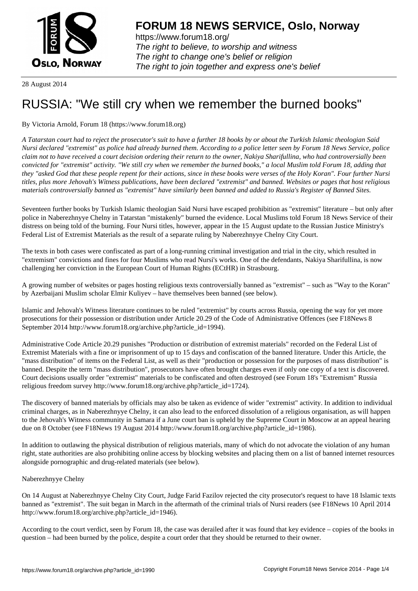

https://www.forum18.org/ The right to believe, to worship and witness The right to change one's belief or religion [The right to join together a](https://www.forum18.org/)nd express one's belief

28 August 2014

# [RUSSIA: "We s](https://www.forum18.org)till cry when we remember the burned books"

## By Victoria Arnold, Forum 18 (https://www.forum18.org)

*A Tatarstan court had to reject the prosecutor's suit to have a further 18 books by or about the Turkish Islamic theologian Said Nursi declared "extremist" as police had already burned them. According to a police letter seen by Forum 18 News Service, police claim not to have received a court decision ordering their return to the owner, Nakiya Sharifullina, who had controversially been convicted for "extremist" activity. "We still cry when we remember the burned books," a local Muslim told Forum 18, adding that they "asked God that these people repent for their actions, since in these books were verses of the Holy Koran". Four further Nursi titles, plus more Jehovah's Witness publications, have been declared "extremist" and banned. Websites or pages that host religious materials controversially banned as "extremist" have similarly been banned and added to Russia's Register of Banned Sites.*

Seventeen further books by Turkish Islamic theologian Said Nursi have escaped prohibition as "extremist" literature – but only after police in Naberezhnyye Chelny in Tatarstan "mistakenly" burned the evidence. Local Muslims told Forum 18 News Service of their distress on being told of the burning. Four Nursi titles, however, appear in the 15 August update to the Russian Justice Ministry's Federal List of Extremist Materials as the result of a separate ruling by Naberezhnyye Chelny City Court.

The texts in both cases were confiscated as part of a long-running criminal investigation and trial in the city, which resulted in "extremism" convictions and fines for four Muslims who read Nursi's works. One of the defendants, Nakiya Sharifullina, is now challenging her conviction in the European Court of Human Rights (ECtHR) in Strasbourg.

A growing number of websites or pages hosting religious texts controversially banned as "extremist" – such as "Way to the Koran" by Azerbaijani Muslim scholar Elmir Kuliyev – have themselves been banned (see below).

Islamic and Jehovah's Witness literature continues to be ruled "extremist" by courts across Russia, opening the way for yet more prosecutions for their possession or distribution under Article 20.29 of the Code of Administrative Offences (see F18News 8 September 2014 http://www.forum18.org/archive.php?article\_id=1994).

Administrative Code Article 20.29 punishes "Production or distribution of extremist materials" recorded on the Federal List of Extremist Materials with a fine or imprisonment of up to 15 days and confiscation of the banned literature. Under this Article, the "mass distribution" of items on the Federal List, as well as their "production or possession for the purposes of mass distribution" is banned. Despite the term "mass distribution", prosecutors have often brought charges even if only one copy of a text is discovered. Court decisions usually order "extremist" materials to be confiscated and often destroyed (see Forum 18's "Extremism" Russia religious freedom survey http://www.forum18.org/archive.php?article\_id=1724).

The discovery of banned materials by officials may also be taken as evidence of wider "extremist" activity. In addition to individual criminal charges, as in Naberezhnyye Chelny, it can also lead to the enforced dissolution of a religious organisation, as will happen to the Jehovah's Witness community in Samara if a June court ban is upheld by the Supreme Court in Moscow at an appeal hearing due on 8 October (see F18News 19 August 2014 http://www.forum18.org/archive.php?article\_id=1986).

In addition to outlawing the physical distribution of religious materials, many of which do not advocate the violation of any human right, state authorities are also prohibiting online access by blocking websites and placing them on a list of banned internet resources alongside pornographic and drug-related materials (see below).

### Naberezhnyye Chelny

On 14 August at Naberezhnyye Chelny City Court, Judge Farid Fazilov rejected the city prosecutor's request to have 18 Islamic texts banned as "extremist". The suit began in March in the aftermath of the criminal trials of Nursi readers (see F18News 10 April 2014 http://www.forum18.org/archive.php?article\_id=1946).

According to the court verdict, seen by Forum 18, the case was derailed after it was found that key evidence – copies of the books in question – had been burned by the police, despite a court order that they should be returned to their owner.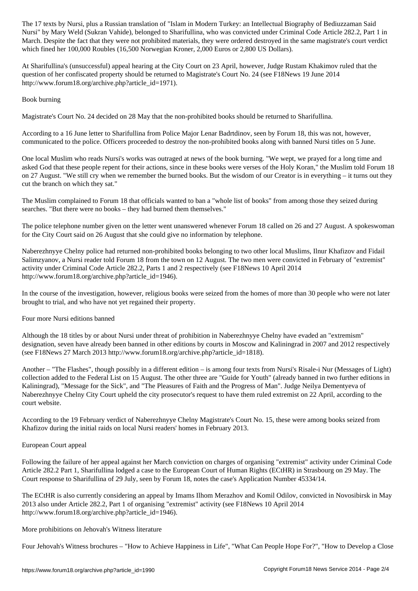Nursi" by Mary Weld (Sukran Vahide), belonged to Sharifullina, who was convicted under Criminal Code Article 282.2, Part 1 in March. Despite the fact that they were not prohibited materials, they were ordered destroyed in the same magistrate's court verdict which fined her 100,000 Roubles (16,500 Norwegian Kroner, 2,000 Euros or 2,800 US Dollars).

At Sharifullina's (unsuccessful) appeal hearing at the City Court on 23 April, however, Judge Rustam Khakimov ruled that the question of her confiscated property should be returned to Magistrate's Court No. 24 (see F18News 19 June 2014 http://www.forum18.org/archive.php?article\_id=1971).

### Book burning

Magistrate's Court No. 24 decided on 28 May that the non-prohibited books should be returned to Sharifullina.

According to a 16 June letter to Sharifullina from Police Major Lenar Badrtdinov, seen by Forum 18, this was not, however, communicated to the police. Officers proceeded to destroy the non-prohibited books along with banned Nursi titles on 5 June.

One local Muslim who reads Nursi's works was outraged at news of the book burning. "We wept, we prayed for a long time and asked God that these people repent for their actions, since in these books were verses of the Holy Koran," the Muslim told Forum 18 on 27 August. "We still cry when we remember the burned books. But the wisdom of our Creator is in everything – it turns out they cut the branch on which they sat."

The Muslim complained to Forum 18 that officials wanted to ban a "whole list of books" from among those they seized during searches. "But there were no books – they had burned them themselves."

The police telephone number given on the letter went unanswered whenever Forum 18 called on 26 and 27 August. A spokeswoman for the City Court said on 26 August that she could give no information by telephone.

Naberezhnyye Chelny police had returned non-prohibited books belonging to two other local Muslims, Ilnur Khafizov and Fidail Salimzyanov, a Nursi reader told Forum 18 from the town on 12 August. The two men were convicted in February of "extremist" activity under Criminal Code Article 282.2, Parts 1 and 2 respectively (see F18News 10 April 2014 http://www.forum18.org/archive.php?article\_id=1946).

In the course of the investigation, however, religious books were seized from the homes of more than 30 people who were not later brought to trial, and who have not yet regained their property.

### Four more Nursi editions banned

Although the 18 titles by or about Nursi under threat of prohibition in Naberezhnyye Chelny have evaded an "extremism" designation, seven have already been banned in other editions by courts in Moscow and Kaliningrad in 2007 and 2012 respectively (see F18News 27 March 2013 http://www.forum18.org/archive.php?article\_id=1818).

Another – "The Flashes", though possibly in a different edition – is among four texts from Nursi's Risale-i Nur (Messages of Light) collection added to the Federal List on 15 August. The other three are "Guide for Youth" (already banned in two further editions in Kaliningrad), "Message for the Sick", and "The Pleasures of Faith and the Progress of Man". Judge Neilya Dementyeva of Naberezhnyye Chelny City Court upheld the city prosecutor's request to have them ruled extremist on 22 April, according to the court website.

According to the 19 February verdict of Naberezhnyye Chelny Magistrate's Court No. 15, these were among books seized from Khafizov during the initial raids on local Nursi readers' homes in February 2013.

### European Court appeal

Following the failure of her appeal against her March conviction on charges of organising "extremist" activity under Criminal Code Article 282.2 Part 1, Sharifullina lodged a case to the European Court of Human Rights (ECtHR) in Strasbourg on 29 May. The Court response to Sharifullina of 29 July, seen by Forum 18, notes the case's Application Number 45334/14.

The ECtHR is also currently considering an appeal by Imams Ilhom Merazhov and Komil Odilov, convicted in Novosibirsk in May 2013 also under Article 282.2, Part 1 of organising "extremist" activity (see F18News 10 April 2014 http://www.forum18.org/archive.php?article\_id=1946).

### More prohibitions on Jehovah's Witness literature

Four Jehovah's Witness brochures – "How to Achieve Happiness in Life", "What Can People Hope For?", "How to Develop a Close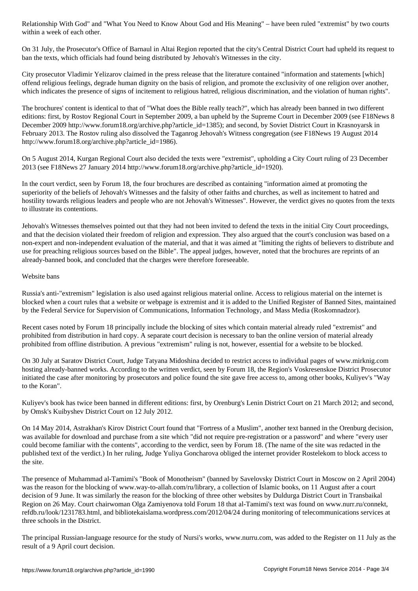On 31 July, the Prosecutor's Office of Barnaul in Altai Region reported that the city's Central District Court had upheld its request to ban the texts, which officials had found being distributed by Jehovah's Witnesses in the city.

City prosecutor Vladimir Yelizarov claimed in the press release that the literature contained "information and statements [which] offend religious feelings, degrade human dignity on the basis of religion, and promote the exclusivity of one religion over another, which indicates the presence of signs of incitement to religious hatred, religious discrimination, and the violation of human rights".

The brochures' content is identical to that of "What does the Bible really teach?", which has already been banned in two different editions: first, by Rostov Regional Court in September 2009, a ban upheld by the Supreme Court in December 2009 (see F18News 8 December 2009 http://www.forum18.org/archive.php?article\_id=1385); and second, by Soviet District Court in Krasnoyarsk in February 2013. The Rostov ruling also dissolved the Taganrog Jehovah's Witness congregation (see F18News 19 August 2014 http://www.forum18.org/archive.php?article\_id=1986).

On 5 August 2014, Kurgan Regional Court also decided the texts were "extremist", upholding a City Court ruling of 23 December 2013 (see F18News 27 January 2014 http://www.forum18.org/archive.php?article\_id=1920).

In the court verdict, seen by Forum 18, the four brochures are described as containing "information aimed at promoting the superiority of the beliefs of Jehovah's Witnesses and the falsity of other faiths and churches, as well as incitement to hatred and hostility towards religious leaders and people who are not Jehovah's Witnesses". However, the verdict gives no quotes from the texts to illustrate its contentions.

Jehovah's Witnesses themselves pointed out that they had not been invited to defend the texts in the initial City Court proceedings, and that the decision violated their freedom of religion and expression. They also argued that the court's conclusion was based on a non-expert and non-independent evaluation of the material, and that it was aimed at "limiting the rights of believers to distribute and use for preaching religious sources based on the Bible". The appeal judges, however, noted that the brochures are reprints of an already-banned book, and concluded that the charges were therefore foreseeable.

### Website bans

Russia's anti-"extremism" legislation is also used against religious material online. Access to religious material on the internet is blocked when a court rules that a website or webpage is extremist and it is added to the Unified Register of Banned Sites, maintained by the Federal Service for Supervision of Communications, Information Technology, and Mass Media (Roskomnadzor).

Recent cases noted by Forum 18 principally include the blocking of sites which contain material already ruled "extremist" and prohibited from distribution in hard copy. A separate court decision is necessary to ban the online version of material already prohibited from offline distribution. A previous "extremism" ruling is not, however, essential for a website to be blocked.

On 30 July at Saratov District Court, Judge Tatyana Midoshina decided to restrict access to individual pages of www.mirknig.com hosting already-banned works. According to the written verdict, seen by Forum 18, the Region's Voskresenskoe District Prosecutor initiated the case after monitoring by prosecutors and police found the site gave free access to, among other books, Kuliyev's "Way to the Koran".

Kuliyev's book has twice been banned in different editions: first, by Orenburg's Lenin District Court on 21 March 2012; and second, by Omsk's Kuibyshev District Court on 12 July 2012.

On 14 May 2014, Astrakhan's Kirov District Court found that "Fortress of a Muslim", another text banned in the Orenburg decision, was available for download and purchase from a site which "did not require pre-registration or a password" and where "every user could become familiar with the contents", according to the verdict, seen by Forum 18. (The name of the site was redacted in the published text of the verdict.) In her ruling, Judge Yuliya Goncharova obliged the internet provider Rostelekom to block access to the site.

The presence of Muhammad al-Tamimi's "Book of Monotheism" (banned by Savelovsky District Court in Moscow on 2 April 2004) was the reason for the blocking of www.way-to-allah.com/ru/library, a collection of Islamic books, on 11 August after a court decision of 9 June. It was similarly the reason for the blocking of three other websites by Duldurga District Court in Transbaikal Region on 26 May. Court chairwoman Olga Zamiyenova told Forum 18 that al-Tamimi's text was found on www.nurr.ru/connekt, refdb.ru/look/1231783.html, and bibliotekaislama.wordpress.com/2012/04/24 during monitoring of telecommunications services at three schools in the District.

The principal Russian-language resource for the study of Nursi's works, www.nurru.com, was added to the Register on 11 July as the result of a 9 April court decision.